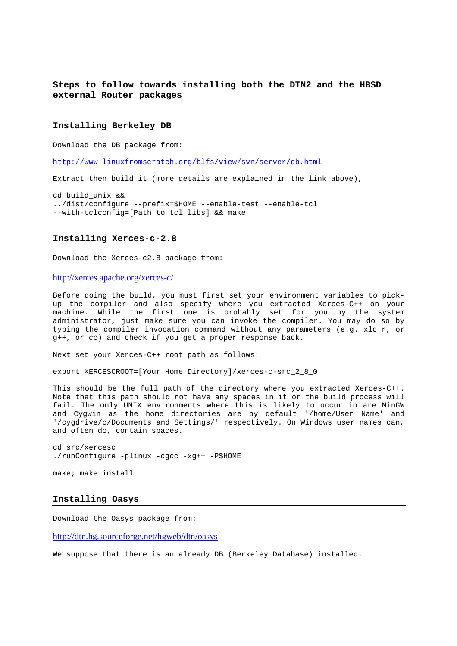**Steps to follow towards installing both the DTN2 and the HBSD external Router packages** 

## **Installing Berkeley DB**

Download the DB package from:

http://www.linuxfromscratch.org/blfs/view/svn/server/db.html

Extract then build it (more details are explained in the link above),

cd build\_unix && ../dist/configure --prefix=\$HOME --enable-test --enable-tcl --with-tclconfig=[Path to tcl libs] && make

## **Installing Xerces-c-2.8**

Download the Xerces-c2.8 package from:

http://xerces.apache.org/xerces-c/

Before doing the build, you must first set your environment variables to pickup the compiler and also specify where you extracted Xerces-C++ on your machine. While the first one is probably set for you by the system administrator, just make sure you can invoke the compiler. You may do so by typing the compiler invocation command without any parameters (e.g. xlc\_r, or g++, or cc) and check if you get a proper response back.

Next set your Xerces-C++ root path as follows:

export XERCESCROOT=[Your Home Directory]/xerces-c-src\_2\_8\_0

This should be the full path of the directory where you extracted Xerces-C++. Note that this path should not have any spaces in it or the build process will fail. The only UNIX environments where this is likely to occur in are MinGW and Cygwin as the home directories are by default '/home/User Name' and '/cygdrive/c/Documents and Settings/' respectively. On Windows user names can, and often do, contain spaces.

cd src/xercesc ./runConfigure -plinux -cgcc -xg++ -P\$HOME

make; make install

#### **Installing Oasys**

Download the Oasys package from:

http://dtn.hg.sourceforge.net/hgweb/dtn/oasys

We suppose that there is an already DB (Berkeley Database) installed.